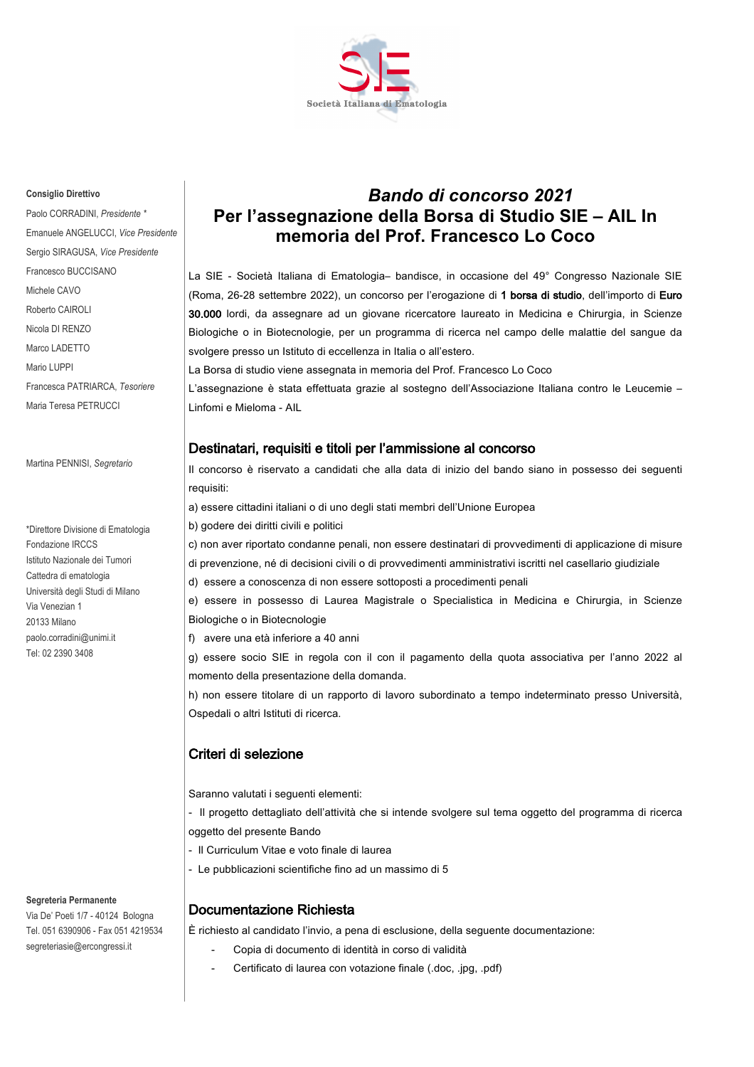

#### **Consiglio Direttivo**

Paolo CORRADINI, *Presidente \** Emanuele ANGELUCCI, *Vice Presidente* Sergio SIRAGUSA, *Vice Presidente* Francesco BUCCISANO Michele CAVO Roberto CAIROLI Nicola DI RENZO Marco LADETTO Mario LUPPI Francesca PATRIARCA, *Tesoriere* Maria Teresa PETRUCCI

Martina PENNISI, *Segretario* 

\*Direttore Divisione di Ematologia Fondazione IRCCS Istituto Nazionale dei Tumori Cattedra di ematologia Università degli Studi di Milano Via Venezian 1 20133 Milano paolo.corradini@unimi.it Tel: 02 2390 3408

#### **Segreteria Permanente**

Via De' Poeti 1/7 - 40124 Bologna Tel. 051 6390906 - Fax 051 4219534 segreteriasie@ercongressi.it

# *Bando di concorso 2021* **Per l'assegnazione della Borsa di Studio SIE – AIL In memoria del Prof. Francesco Lo Coco**

La SIE - Società Italiana di Ematologia- bandisce, in occasione del 49° Congresso Nazionale SIE (Roma, 26-28 settembre 2022), un concorso per l'erogazione di 1 borsa di studio, dell'importo di Euro 30.000 lordi, da assegnare ad un giovane ricercatore laureato in Medicina e Chirurgia, in Scienze Biologiche o in Biotecnologie, per un programma di ricerca nel campo delle malattie del sangue da svolgere presso un Istituto di eccellenza in Italia o all'estero.

La Borsa di studio viene assegnata in memoria del Prof. Francesco Lo Coco

L'assegnazione è stata effettuata grazie al sostegno dell'Associazione Italiana contro le Leucemie -Linfomi e Mieloma - AIL

#### Destinatari, requisiti e titoli per l'ammissione al concorso

Il concorso è riservato a candidati che alla data di inizio del bando siano in possesso dei sequenti requisiti:

a) essere cittadini italiani o di uno degli stati membri dell'Unione Europea

b) godere dei diritti civili e politici

c) non aver riportato condanne penali, non essere destinatari di provvedimenti di applicazione di misure

di prevenzione, né di decisioni civili o di provvedimenti amministrativi iscritti nel casellario giudiziale

d) essere a conoscenza di non essere sottoposti a procedimenti penali

e) essere in possesso di Laurea Magistrale o Specialistica in Medicina e Chirurgia, in Scienze Biologiche o in Biotecnologie

f) avere una età inferiore a 40 anni

g) essere socio SIE in regola con il con il pagamento della quota associativa per l'anno 2022 al momento della presentazione della domanda.

h) non essere titolare di un rapporto di lavoro subordinato a tempo indeterminato presso Università, Ospedali o altri Istituti di ricerca.

# Criteri di selezione

Saranno valutati i seguenti elementi:

- Il progetto dettagliato dell'attività che si intende svolgere sul tema oggetto del programma di ricerca oggetto del presente Bando

- Il Curriculum Vitae e voto finale di laurea

- Le pubblicazioni scientifiche fino ad un massimo di 5

## Documentazione Richiesta

 $\dot{E}$  richiesto al candidato l'invio, a pena di esclusione, della seguente documentazione:

- Copia di documento di identità in corso di validità
- Certificato di laurea con votazione finale (.doc. .jpg. .pdf)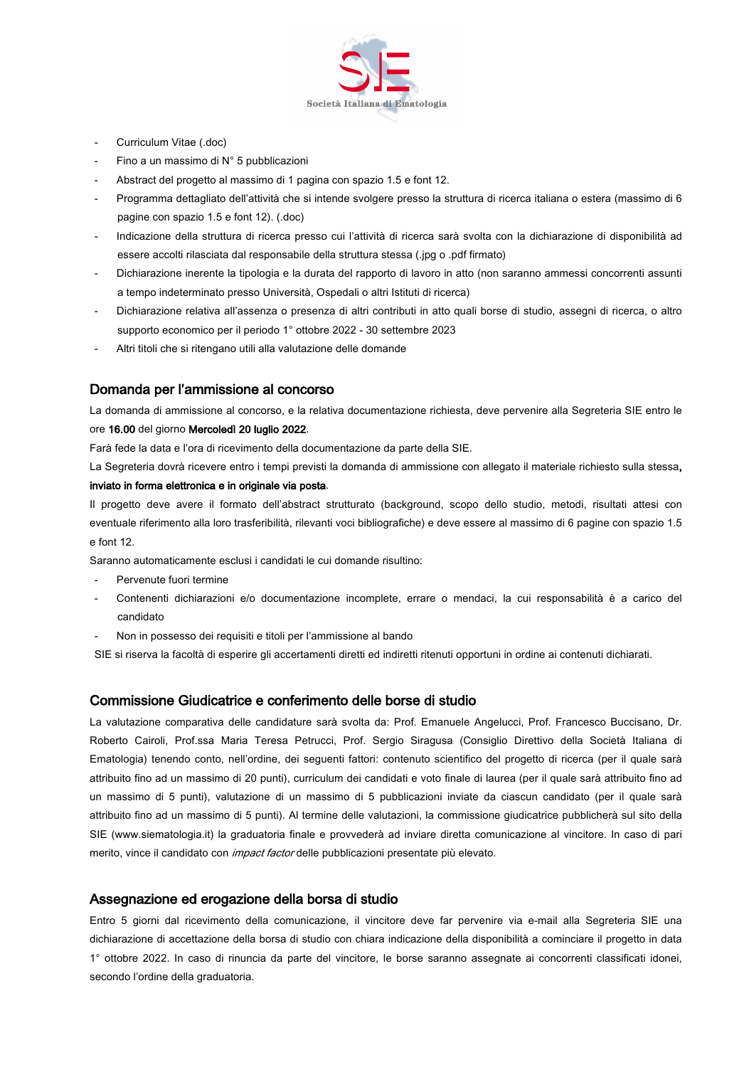

- Curriculum Vitae (.doc)
- Fino a un massimo di N° 5 pubblicazioni
- Abstract del progetto al massimo di 1 pagina con spazio 1.5 e font 12.
- Programma dettagliato dell'attività che si intende svolgere presso la struttura di ricerca italiana o estera (massimo di 6 pagine con spazio 1.5 e font 12). (.doc)
- Indicazione della struttura di ricerca presso cui l'attività di ricerca sarà svolta con la dichiarazione di disponibilità ad essere accolti rilasciata dal responsabile della struttura stessa (.jpg o .pdf firmato)
- Dichiarazione inerente la tipologia e la durata del rapporto di lavoro in atto (non saranno ammessi concorrenti assunti a tempo indeterminato presso Università, Ospedali o altri Istituti di ricerca)
- Dichiarazione relativa all'assenza o presenza di altri contributi in atto quali borse di studio, assegni di ricerca, o altro supporto economico per il periodo 1° ottobre 2022 - 30 settembre 2023
- Altri titoli che si ritengano utili alla valutazione delle domande

## Domanda per l'ammissione al concorso

La domanda di ammissione al concorso, e la relativa documentazione richiesta, deve pervenire alla Segreteria SIE entro le ore 16.00 del giorno Mercoledì 20 luglio 2022.

Farà fede la data e l'ora di ricevimento della documentazione da parte della SIE.

La Segreteria dovrà ricevere entro i tempi previsti la domanda di ammissione con allegato il materiale richiesto sulla stessa.

#### inviato in forma elettronica e in originale via posta.

Il progetto deve avere il formato dell'abstract strutturato (background, scopo dello studio, metodi, risultati attesi con eventuale riferimento alla loro trasferibilità, rilevanti voci bibliografiche) e deve essere al massimo di 6 pagine con spazio 1.5  $\rho$  font 12

Saranno automaticamente esclusi i candidati le cui domande risultino:

- Pervenute fuori termine
- Contenenti dichiarazioni e/o documentazione incomplete, errare o mendaci, la cui responsabilità è a carico del candidato
- Non in possesso dei requisiti e titoli per l'ammissione al bando

SIE si riserva la facoltà di esperire gli accertamenti diretti ed indiretti ritenuti opportuni in ordine ai contenuti dichiarati.

#### Commissione Giudicatrice e conferimento delle borse di studio

La valutazione comparativa delle candidature sarà svolta da: Prof. Emanuele Angelucci, Prof. Francesco Buccisano, Dr. Roberto Cairoli, Prof.ssa Maria Teresa Petrucci, Prof. Sergio Siragusa (Consiglio Direttivo della Società Italiana di Ematologia) tenendo conto, nell'ordine, dei seguenti fattori: contenuto scientifico del progetto di ricerca (per il quale sarà attribuito fino ad un massimo di 20 punti), curriculum dei candidati e voto finale di laurea (per il quale sarà attribuito fino ad un massimo di 5 punti), valutazione di un massimo di 5 pubblicazioni inviate da ciascun candidato (per il quale sarà attribuito fino ad un massimo di 5 punti). Al termine delle valutazioni, la commissione giudicatrice pubblicherà sul sito della SIE (www.siematologia.it) la graduatoria finale e provvederà ad inviare diretta comunicazione al vincitore. In caso di pari merito, vince il candidato con *impact factor* delle pubblicazioni presentate più elevato.

## Assegnazione ed erogazione della borsa di studio

Entro 5 giorni dal ricevimento della comunicazione, il vincitore deve far pervenire via e-mail alla Segreteria SIE una dichiarazione di accettazione della borsa di studio con chiara indicazione della disponibilità a cominciare il progetto in data 1° ottobre 2022. In caso di rinuncia da parte del vincitore, le borse saranno assegnate ai concorrenti classificati idonei, secondo l'ordine della graduatoria.